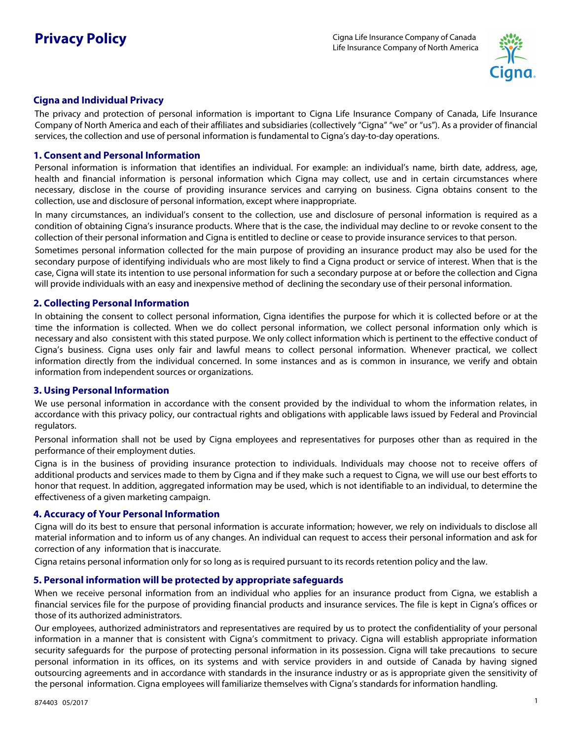

# **Cigna and Individual Privacy**

The privacy and protection of personal information is important to Cigna Life Insurance Company of Canada, Life Insurance Company of North America and each of their affiliates and subsidiaries (collectively "Cigna" "we" or "us"). As a provider of financial services, the collection and use of personal information is fundamental to Cigna's day-to-day operations.

### **1. Consent and Personal Information**

Personal information is information that identifies an individual. For example: an individual's name, birth date, address, age, health and financial information is personal information which Cigna may collect, use and in certain circumstances where necessary, disclose in the course of providing insurance services and carrying on business. Cigna obtains consent to the collection, use and disclosure of personal information, except where inappropriate.

In many circumstances, an individual's consent to the collection, use and disclosure of personal information is required as a condition of obtaining Cigna's insurance products. Where that is the case, the individual may decline to or revoke consent to the collection of their personal information and Cigna is entitled to decline or cease to provide insurance services to that person.

Sometimes personal information collected for the main purpose of providing an insurance product may also be used for the secondary purpose of identifying individuals who are most likely to find a Cigna product or service of interest. When that is the case, Cigna will state its intention to use personal information for such a secondary purpose at or before the collection and Cigna will provide individuals with an easy and inexpensive method of declining the secondary use of their personal information.

## **2. Collecting Personal Information**

In obtaining the consent to collect personal information, Cigna identifies the purpose for which it is collected before or at the time the information is collected. When we do collect personal information, we collect personal information only which is necessary and also consistent with this stated purpose. We only collect information which is pertinent to the effective conduct of Cigna's business. Cigna uses only fair and lawful means to collect personal information. Whenever practical, we collect information directly from the individual concerned. In some instances and as is common in insurance, we verify and obtain information from independent sources or organizations.

# **3. Using Personal Information**

We use personal information in accordance with the consent provided by the individual to whom the information relates, in accordance with this privacy policy, our contractual rights and obligations with applicable laws issued by Federal and Provincial regulators.

Personal information shall not be used by Cigna employees and representatives for purposes other than as required in the performance of their employment duties.

Cigna is in the business of providing insurance protection to individuals. Individuals may choose not to receive offers of additional products and services made to them by Cigna and if they make such a request to Cigna, we will use our best efforts to honor that request. In addition, aggregated information may be used, which is not identifiable to an individual, to determine the effectiveness of a given marketing campaign.

#### **4. Accuracy of Your Personal Information**

Cigna will do its best to ensure that personal information is accurate information; however, we rely on individuals to disclose all material information and to inform us of any changes. An individual can request to access their personal information and ask for correction of any information that is inaccurate.

Cigna retains personal information only for so long as is required pursuant to its records retention policy and the law.

# **5. Personal information will be protected by appropriate safeguards**

When we receive personal information from an individual who applies for an insurance product from Cigna, we establish a financial services file for the purpose of providing financial products and insurance services. The file is kept in Cigna's offices or those of its authorized administrators.

Our employees, authorized administrators and representatives are required by us to protect the confidentiality of your personal information in a manner that is consistent with Cigna's commitment to privacy. Cigna will establish appropriate information security safeguards for the purpose of protecting personal information in its possession. Cigna will take precautions to secure personal information in its offices, on its systems and with service providers in and outside of Canada by having signed outsourcing agreements and in accordance with standards in the insurance industry or as is appropriate given the sensitivity of the personal information. Cigna employees will familiarize themselves with Cigna's standards for information handling.